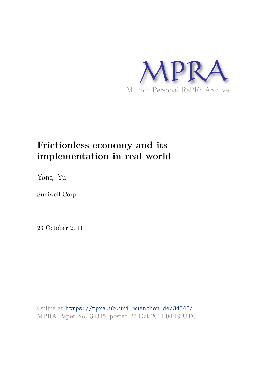

# **Frictionless economy and its implementation in real world**

Yang, Yu

Suniwell Corp.

23 October 2011

Online at https://mpra.ub.uni-muenchen.de/34345/ MPRA Paper No. 34345, posted 27 Oct 2011 04:19 UTC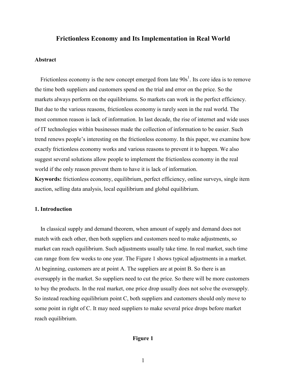# **Frictionless Economy and Its Implementation in Real World**

#### **Abstract**

Frictionless economy is the new concept emerged from late  $90s<sup>1</sup>$ . Its core idea is to remove the time both suppliers and customers spend on the trial and error on the price. So the markets always perform on the equilibriums. So markets can work in the perfect efficiency. But due to the various reasons, frictionless economy is rarely seen in the real world. The most common reason is lack of information. In last decade, the rise of internet and wide uses of IT technologies within businesses made the collection of information to be easier. Such trend renews people's interesting on the frictionless economy. In this paper, we examine how exactly frictionless economy works and various reasons to prevent it to happen. We also suggest several solutions allow people to implement the frictionless economy in the real world if the only reason prevent them to have it is lack of information.

**Keywords:** frictionless economy, equilibrium, perfect efficiency, online surveys, single item auction, selling data analysis, local equilibrium and global equilibrium.

# 1. Introduction

In classical supply and demand theorem, when amount of supply and demand does not match with each other, then both suppliers and customers need to make adjustments, so market can reach equilibrium. Such adjustments usually take time. In real market, such time can range from few weeks to one year. The Figure 1 shows typical adjustments in a market. At beginning, customers are at point A. The suppliers are at point B. So there is an oversupply in the market. So suppliers need to cut the price. So there will be more customers to buy the products. In the real market, one price drop usually does not solve the oversupply. So instead reaching equilibrium point C, both suppliers and customers should only move to some point in right of C. It may need suppliers to make several price drops before market reach equilibrium.

# Figure 1

 $\mathbf{1}$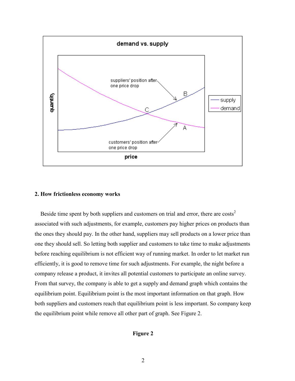

#### 2. How frictionless economy works

Beside time spent by both suppliers and customers on trial and error, there are costs<sup>2</sup> associated with such adjustments, for example, customers pay higher prices on products than the ones they should pay. In the other hand, suppliers may sell products on a lower price than one they should sell. So letting both supplier and customers to take time to make adjustments before reaching equilibrium is not efficient way of running market. In order to let market run efficiently, it is good to remove time for such adjustments. For example, the night before a company release a product, it invites all potential customers to participate an online survey. From that survey, the company is able to get a supply and demand graph which contains the equilibrium point. Equilibrium point is the most important information on that graph. How both suppliers and customers reach that equilibrium point is less important. So company keep the equilibrium point while remove all other part of graph. See Figure 2.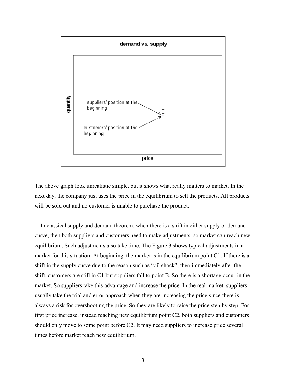

The above graph look unrealistic simple, but it shows what really matters to market. In the next day, the company just uses the price in the equilibrium to sell the products. All products will be sold out and no customer is unable to purchase the product.

In classical supply and demand theorem, when there is a shift in either supply or demand curve, then both suppliers and customers need to make adjustments, so market can reach new equilibrium. Such adjustments also take time. The Figure 3 shows typical adjustments in a market for this situation. At beginning, the market is in the equilibrium point C1. If there is a shift in the supply curve due to the reason such as "oil shock", then immediately after the shift, customers are still in C1 but suppliers fall to point B. So there is a shortage occur in the market. So suppliers take this advantage and increase the price. In the real market, suppliers usually take the trial and error approach when they are increasing the price since there is always a risk for overshooting the price. So they are likely to raise the price step by step. For first price increase, instead reaching new equilibrium point C2, both suppliers and customers should only move to some point before C2. It may need suppliers to increase price several times before market reach new equilibrium.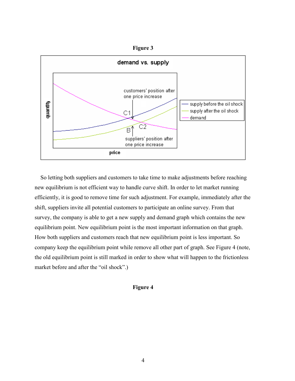Figure 3



So letting both suppliers and customers to take time to make adjustments before reaching new equilibrium is not efficient way to handle curve shift. In order to let market running efficiently, it is good to remove time for such adjustment. For example, immediately after the shift, suppliers invite all potential customers to participate an online survey. From that survey, the company is able to get a new supply and demand graph which contains the new equilibrium point. New equilibrium point is the most important information on that graph. How both suppliers and customers reach that new equilibrium point is less important. So company keep the equilibrium point while remove all other part of graph. See Figure 4 (note, the old equilibrium point is still marked in order to show what will happen to the frictionless market before and after the "oil shock".)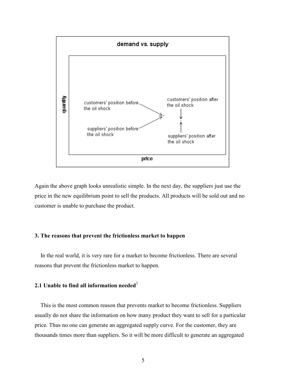

Again the above graph looks unrealistic simple. In the next day, the suppliers just use the price in the new equilibrium point to sell the products. All products will be sold out and no customer is unable to purchase the product.

# 3. The reasons that prevent the frictionless market to happen

In the real world, it is very rare for a market to become frictionless. There are several reasons that prevent the frictionless market to happen.

# 2.1 Unable to find all information needed<sup>3</sup>

This is the most common reason that prevents market to become frictionless. Suppliers usually do not share the information on how many product they want to sell for a particular price. Thus no one can generate an aggregated supply curve. For the customer, they are thousands times more than suppliers. So it will be more difficult to generate an aggregated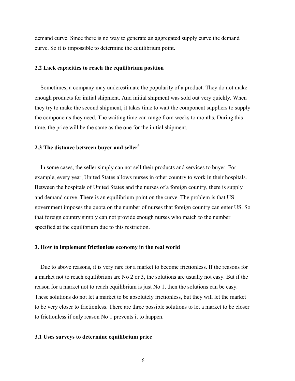demand curve. Since there is no way to generate an aggregated supply curve the demand curve. So it is impossible to determine the equilibrium point.

#### 2.2 Lack capacities to reach the equilibrium position

Sometimes, a company may underestimate the popularity of a product. They do not make enough products for initial shipment. And initial shipment was sold out very quickly. When they try to make the second shipment, it takes time to wait the component suppliers to supply the components they need. The waiting time can range from weeks to months. During this time, the price will be the same as the one for the initial shipment.

# 2.3 The distance between buyer and seller<sup>4</sup>

In some cases, the seller simply can not sell their products and services to buyer. For example, every year, United States allows nurses in other country to work in their hospitals. Between the hospitals of United States and the nurses of a foreign country, there is supply and demand curve. There is an equilibrium point on the curve. The problem is that US government imposes the quota on the number of nurses that foreign country can enter US. So that foreign country simply can not provide enough nurses who match to the number specified at the equilibrium due to this restriction.

## 3. How to implement frictionless economy in the real world

Due to above reasons, it is very rare for a market to become frictionless. If the reasons for a market not to reach equilibrium are No 2 or 3, the solutions are usually not easy. But if the reason for a market not to reach equilibrium is just No 1, then the solutions can be easy. These solutions do not let a market to be absolutely frictionless, but they will let the market to be very closer to frictionless. There are three possible solutions to let a market to be closer to frictionless if only reason No 1 prevents it to happen.

# 3.1 Uses surveys to determine equilibrium price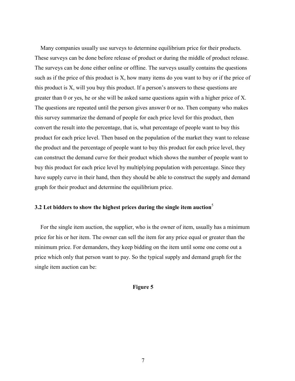Many companies usually use surveys to determine equilibrium price for their products. These surveys can be done before release of product or during the middle of product release. The surveys can be done either online or offline. The surveys usually contains the questions such as if the price of this product is X, how many items do you want to buy or if the price of this product is X, will you buy this product. If a person's answers to these questions are greater than 0 or yes, he or she will be asked same questions again with a higher price of X. The questions are repeated until the person gives answer 0 or no. Then company who makes this survey summarize the demand of people for each price level for this product, then convert the result into the percentage, that is, what percentage of people want to buy this product for each price level. Then based on the population of the market they want to release the product and the percentage of people want to buy this product for each price level, they can construct the demand curve for their product which shows the number of people want to buy this product for each price level by multiplying population with percentage. Since they have supply curve in their hand, then they should be able to construct the supply and demand graph for their product and determine the equilibrium price.

# 3.2 Let bidders to show the highest prices during the single item auction<sup>5</sup>

For the single item auction, the supplier, who is the owner of item, usually has a minimum price for his or her item. The owner can sell the item for any price equal or greater than the minimum price. For demanders, they keep bidding on the item until some one come out a price which only that person want to pay. So the typical supply and demand graph for the single item auction can be: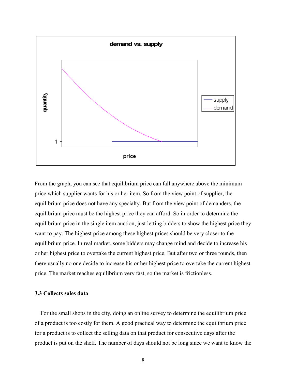

From the graph, you can see that equilibrium price can fall anywhere above the minimum price which supplier wants for his or her item. So from the view point of supplier, the equilibrium price does not have any specialty. But from the view point of demanders, the equilibrium price must be the highest price they can afford. So in order to determine the equilibrium price in the single item auction, just letting bidders to show the highest price they want to pay. The highest price among these highest prices should be very closer to the equilibrium price. In real market, some bidders may change mind and decide to increase his or her highest price to overtake the current highest price. But after two or three rounds, then there usually no one decide to increase his or her highest price to overtake the current highest price. The market reaches equilibrium very fast, so the market is frictionless.

### 3.3 Collects sales data

For the small shops in the city, doing an online survey to determine the equilibrium price of a product is too costly for them. A good practical way to determine the equilibrium price for a product is to collect the selling data on that product for consecutive days after the product is put on the shelf. The number of days should not be long since we want to know the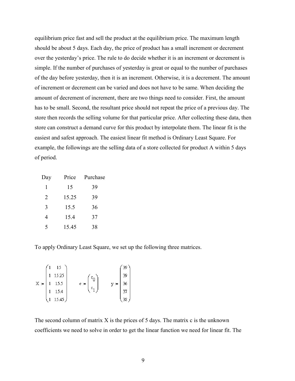equilibrium price fast and sell the product at the equilibrium price. The maximum length should be about 5 days. Each day, the price of product has a small increment or decrement over the yesterday's price. The rule to do decide whether it is an increment or decrement is simple. If the number of purchases of yesterday is great or equal to the number of purchases of the day before yesterday, then it is an increment. Otherwise, it is a decrement. The amount of increment or decrement can be varied and does not have to be same. When deciding the amount of decrement of increment, there are two things need to consider. First, the amount has to be small. Second, the resultant price should not repeat the price of a previous day. The store then records the selling volume for that particular price. After collecting these data, then store can construct a demand curve for this product by interpolate them. The linear fit is the easiest and safest approach. The easiest linear fit method is Ordinary Least Square. For example, the followings are the selling data of a store collected for product A within 5 days of period.

| Day | Price | Purchase |
|-----|-------|----------|
| 1   | 15    | 39       |
| 2   | 15.25 | 39       |
| 3   | 15.5  | 36       |
| 4   | 15.4  | 37       |
| 5   | 15.45 | 38       |

To apply Ordinary Least Square, we set up the following three matrices.

|       | 15      |                  |    |
|-------|---------|------------------|----|
|       | 15.25   | $\mathbf{c}_0$   | 39 |
| $X =$ | 15.5    | $\phi :=$<br>y ≔ | 36 |
|       | 15.4    | $\mathbf{c}_1$   | 37 |
|       | 15.45 ) |                  |    |

The second column of matrix  $X$  is the prices of 5 days. The matrix  $c$  is the unknown coefficients we need to solve in order to get the linear function we need for linear fit. The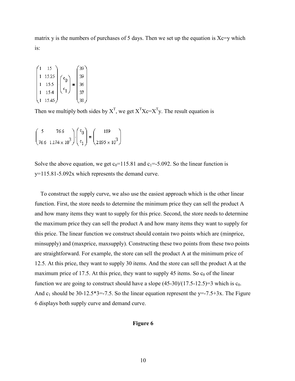matrix y is the numbers of purchases of 5 days. Then we set up the equation is  $Xc=y$  which is:

$$
\begin{pmatrix} 1 & 15 \ 1 & 15.25 \ 1 & 15.5 \ 1 & 15.4 \end{pmatrix} \begin{pmatrix} c_0 \ c_1 \end{pmatrix} = \begin{pmatrix} 39 \ 39 \ 36 \ 37 \ 38 \end{pmatrix}
$$

Then we multiply both sides by  $X^T$ , we get  $X^T X e = X^T Y$ . The result equation is

$$
\begin{pmatrix} 5 & 76.6 \ 76.6 & 1.174 \times 10^3 \end{pmatrix} \cdot \begin{pmatrix} c_0 \ c_1 \end{pmatrix} = \begin{pmatrix} 189 \ 2.895 \times 10^3 \end{pmatrix}
$$

Solve the above equation, we get  $c_0$ =115.81 and  $c_1$ =-5.092. So the linear function is  $y=115.81-5.092x$  which represents the demand curve.

To construct the supply curve, we also use the easiest approach which is the other linear function. First, the store needs to determine the minimum price they can sell the product A and how many items they want to supply for this price. Second, the store needs to determine the maximum price they can sell the product A and how many items they want to supply for this price. The linear function we construct should contain two points which are (minprice, minsupply) and (maxprice, maxsupply). Constructing these two points from these two points are straightforward. For example, the store can sell the product A at the minimum price of 12.5. At this price, they want to supply 30 items. And the store can sell the product A at the maximum price of 17.5. At this price, they want to supply 45 items. So  $c_0$  of the linear function we are going to construct should have a slope  $(45-30)/(17.5-12.5)=3$  which is  $c_0$ . And  $c_1$  should be 30-12.5\*3=-7.5. So the linear equation represent the y=-7.5+3x. The Figure 6 displays both supply curve and demand curve.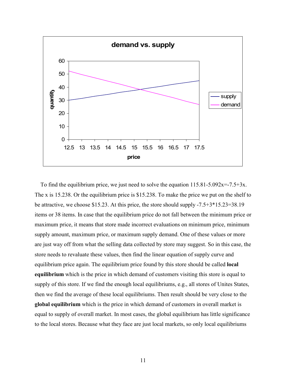

To find the equilibrium price, we just need to solve the equation  $115.81 - 5.092x = -7.5 + 3x$ . The x is 15.238. Or the equilibrium price is \$15.238. To make the price we put on the shelf to be attractive, we choose \$15.23. At this price, the store should supply  $-7.5+3*15.23=38.19$ items or 38 items. In case that the equilibrium price do not fall between the minimum price or maximum price, it means that store made incorrect evaluations on minimum price, minimum supply amount, maximum price, or maximum supply demand. One of these values or more are just way off from what the selling data collected by store may suggest. So in this case, the store needs to revaluate these values, then find the linear equation of supply curve and equilibrium price again. The equilibrium price found by this store should be called **local** equilibrium which is the price in which demand of customers visiting this store is equal to supply of this store. If we find the enough local equilibriums, e.g., all stores of Unites States, then we find the average of these local equilibriums. Then result should be very close to the global equilibrium which is the price in which demand of customers in overall market is equal to supply of overall market. In most cases, the global equilibrium has little significance to the local stores. Because what they face are just local markets, so only local equilibriums